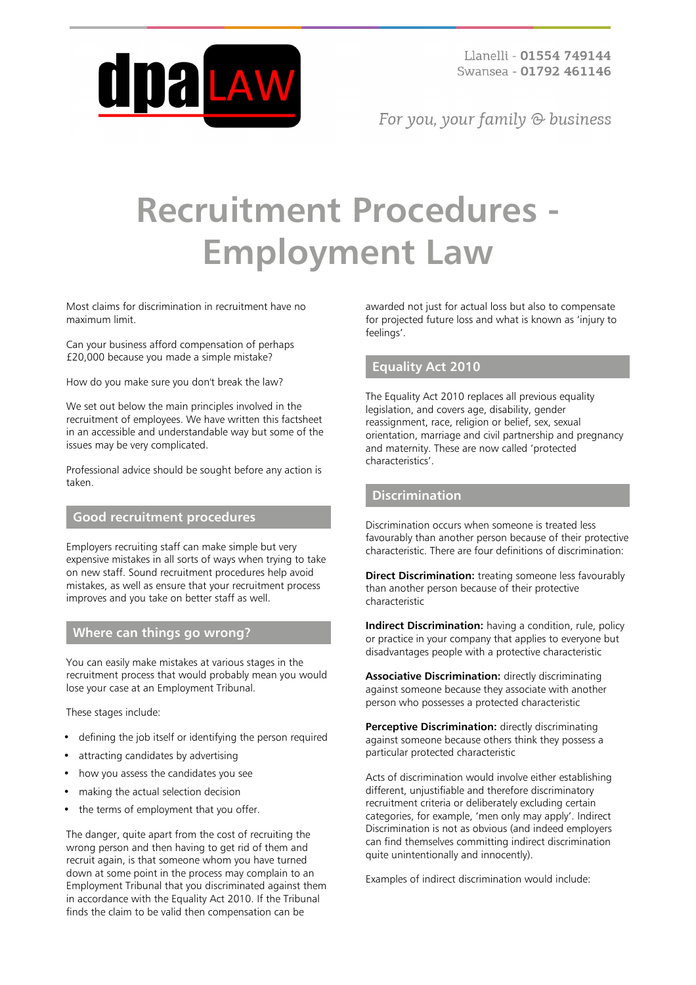

For you, your family  $\odot$  business

# **Recruitment Procedures - Employment Law**

Most claims for discrimination in recruitment have no maximum limit.

Can your business afford compensation of perhaps £20,000 because you made a simple mistake?

How do you make sure you don't break the law?

We set out below the main principles involved in the recruitment of employees. We have written this factsheet in an accessible and understandable way but some of the issues may be very complicated.

Professional advice should be sought before any action is taken.

# **Good recruitment procedures**

Employers recruiting staff can make simple but very expensive mistakes in all sorts of ways when trying to take on new staff. Sound recruitment procedures help avoid mistakes, as well as ensure that your recruitment process improves and you take on better staff as well.

# **Where can things go wrong?**

You can easily make mistakes at various stages in the recruitment process that would probably mean you would lose your case at an Employment Tribunal.

These stages include:

- defining the job itself or identifying the person required
- attracting candidates by advertising
- how you assess the candidates you see
- making the actual selection decision
- the terms of employment that you offer.

The danger, quite apart from the cost of recruiting the wrong person and then having to get rid of them and recruit again, is that someone whom you have turned down at some point in the process may complain to an Employment Tribunal that you discriminated against them in accordance with the Equality Act 2010. If the Tribunal finds the claim to be valid then compensation can be

awarded not just for actual loss but also to compensate for projected future loss and what is known as 'injury to feelings'.

# **Equality Act 2010**

The Equality Act 2010 replaces all previous equality legislation, and covers age, disability, gender reassignment, race, religion or belief, sex, sexual orientation, marriage and civil partnership and pregnancy and maternity. These are now called 'protected characteristics'.

# **Discrimination**

Discrimination occurs when someone is treated less favourably than another person because of their protective characteristic. There are four definitions of discrimination:

**Direct Discrimination:** treating someone less favourably than another person because of their protective characteristic

**Indirect Discrimination:** having a condition, rule, policy or practice in your company that applies to everyone but disadvantages people with a protective characteristic

**Associative Discrimination:** directly discriminating against someone because they associate with another person who possesses a protected characteristic

**Perceptive Discrimination:** directly discriminating against someone because others think they possess a particular protected characteristic

Acts of discrimination would involve either establishing different, unjustifiable and therefore discriminatory recruitment criteria or deliberately excluding certain categories, for example, 'men only may apply'. Indirect Discrimination is not as obvious (and indeed employers can find themselves committing indirect discrimination quite unintentionally and innocently).

Examples of indirect discrimination would include: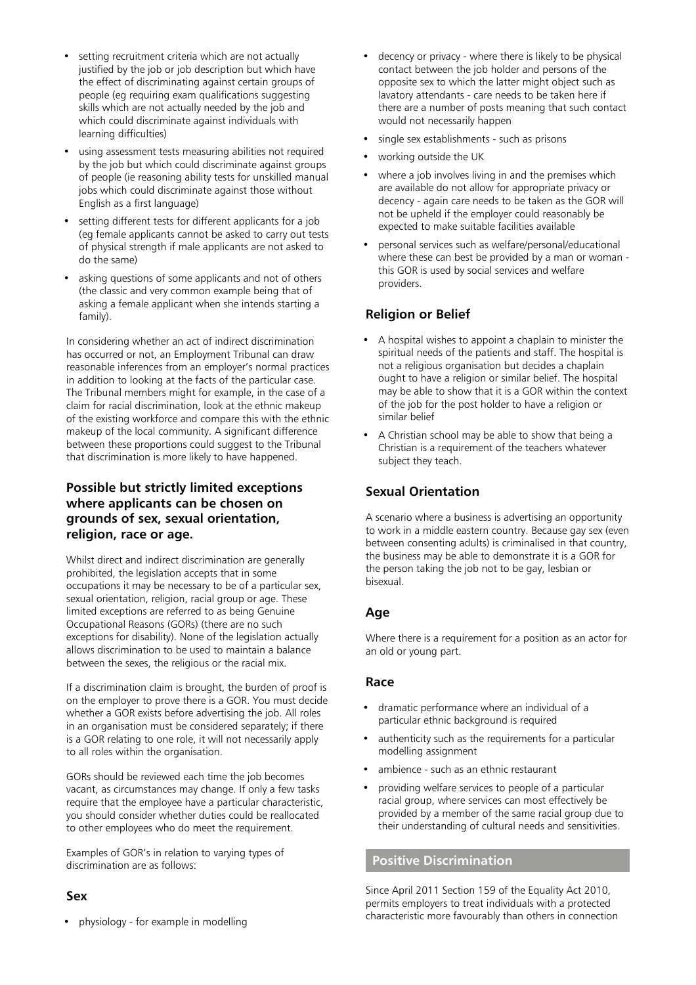- setting recruitment criteria which are not actually justified by the job or job description but which have the effect of discriminating against certain groups of people (eg requiring exam qualifications suggesting skills which are not actually needed by the job and which could discriminate against individuals with learning difficulties)
- using assessment tests measuring abilities not required by the job but which could discriminate against groups of people (ie reasoning ability tests for unskilled manual jobs which could discriminate against those without English as a first language)
- setting different tests for different applicants for a job (eg female applicants cannot be asked to carry out tests of physical strength if male applicants are not asked to do the same)
- asking questions of some applicants and not of others (the classic and very common example being that of asking a female applicant when she intends starting a family).

In considering whether an act of indirect discrimination has occurred or not, an Employment Tribunal can draw reasonable inferences from an employer's normal practices in addition to looking at the facts of the particular case. The Tribunal members might for example, in the case of a claim for racial discrimination, look at the ethnic makeup of the existing workforce and compare this with the ethnic makeup of the local community. A significant difference between these proportions could suggest to the Tribunal that discrimination is more likely to have happened.

# **Possible but strictly limited exceptions where applicants can be chosen on grounds of sex, sexual orientation, religion, race or age.**

Whilst direct and indirect discrimination are generally prohibited, the legislation accepts that in some occupations it may be necessary to be of a particular sex, sexual orientation, religion, racial group or age. These limited exceptions are referred to as being Genuine Occupational Reasons (GORs) (there are no such exceptions for disability). None of the legislation actually allows discrimination to be used to maintain a balance between the sexes, the religious or the racial mix.

If a discrimination claim is brought, the burden of proof is on the employer to prove there is a GOR. You must decide whether a GOR exists before advertising the job. All roles in an organisation must be considered separately; if there is a GOR relating to one role, it will not necessarily apply to all roles within the organisation.

GORs should be reviewed each time the job becomes vacant, as circumstances may change. If only a few tasks require that the employee have a particular characteristic, you should consider whether duties could be reallocated to other employees who do meet the requirement.

Examples of GOR's in relation to varying types of discrimination are as follows:

# **Sex**

- decency or privacy where there is likely to be physical contact between the job holder and persons of the opposite sex to which the latter might object such as lavatory attendants - care needs to be taken here if there are a number of posts meaning that such contact would not necessarily happen
- single sex establishments such as prisons
- working outside the UK
- where a job involves living in and the premises which are available do not allow for appropriate privacy or decency - again care needs to be taken as the GOR will not be upheld if the employer could reasonably be expected to make suitable facilities available
- personal services such as welfare/personal/educational where these can best be provided by a man or woman this GOR is used by social services and welfare providers.

# **Religion or Belief**

- A hospital wishes to appoint a chaplain to minister the spiritual needs of the patients and staff. The hospital is not a religious organisation but decides a chaplain ought to have a religion or similar belief. The hospital may be able to show that it is a GOR within the context of the job for the post holder to have a religion or similar belief
- A Christian school may be able to show that being a Christian is a requirement of the teachers whatever subject they teach.

# **Sexual Orientation**

A scenario where a business is advertising an opportunity to work in a middle eastern country. Because gay sex (even between consenting adults) is criminalised in that country, the business may be able to demonstrate it is a GOR for the person taking the job not to be gay, lesbian or bisexual.

# **Age**

Where there is a requirement for a position as an actor for an old or young part.

# **Race**

- dramatic performance where an individual of a particular ethnic background is required
- authenticity such as the requirements for a particular modelling assignment
- ambience such as an ethnic restaurant
- providing welfare services to people of a particular racial group, where services can most effectively be provided by a member of the same racial group due to their understanding of cultural needs and sensitivities.

#### **Positive Discrimination**

Since April 2011 Section 159 of the Equality Act 2010, permits employers to treat individuals with a protected characteristic more favourably than others in connection

• physiology - for example in modelling